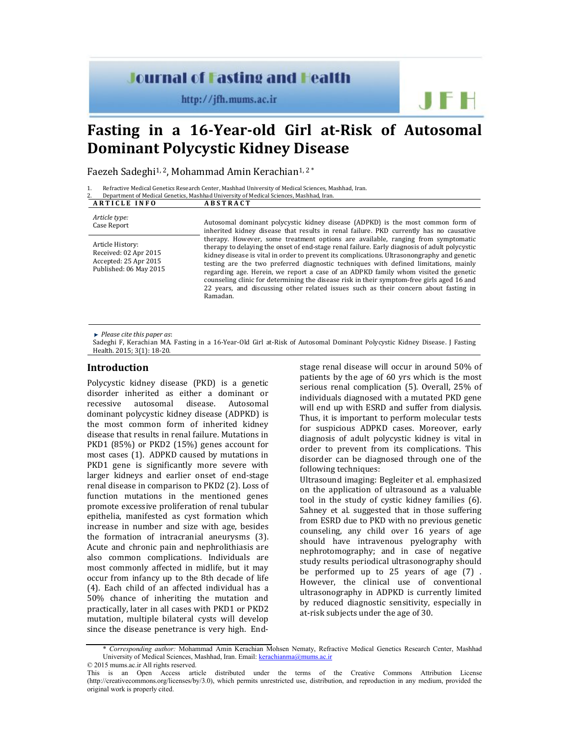# **Journal of Fasting and Health**

http://jfh.mums.ac.ir

# **Fasting in a 16-Year-old Girl at-Risk of Autosomal Dominant Polycystic Kidney Disease**

Faezeh Sadeghi<sup>1, 2</sup>, Mohammad Amin Kerachian<sup>1, 2\*</sup>

| Refractive Medical Genetics Research Center, Mashhad University of Medical Sciences, Mashhad, Iran. |
|-----------------------------------------------------------------------------------------------------|
| Department of Medical Genetics, Mashhad University of Medical Sciences, Mashhad, Iran.              |

| <b>ARTICLE INFO</b>                                                                          | <b>ABSTRACT</b>                                                                                                                                                                                                                                                                                                                                                                                                                                                                                                                                                                                                                                                                                                                                                                                                                                |
|----------------------------------------------------------------------------------------------|------------------------------------------------------------------------------------------------------------------------------------------------------------------------------------------------------------------------------------------------------------------------------------------------------------------------------------------------------------------------------------------------------------------------------------------------------------------------------------------------------------------------------------------------------------------------------------------------------------------------------------------------------------------------------------------------------------------------------------------------------------------------------------------------------------------------------------------------|
| Article type:<br>Case Report                                                                 | Autosomal dominant polycystic kidney disease (ADPKD) is the most common form of<br>inherited kidney disease that results in renal failure. PKD currently has no causative<br>therapy. However, some treatment options are available, ranging from symptomatic<br>therapy to delaying the onset of end-stage renal failure. Early diagnosis of adult polycystic<br>kidney disease is vital in order to prevent its complications. Ultrasonongraphy and genetic<br>testing are the two preferred diagnostic techniques with defined limitations, mainly<br>regarding age. Herein, we report a case of an ADPKD family whom visited the genetic<br>counseling clinic for determining the disease risk in their symptom-free girls aged 16 and<br>22 years, and discussing other related issues such as their concern about fasting in<br>Ramadan. |
| Article History:<br>Received: 02 Apr 2015<br>Accepted: 25 Apr 2015<br>Published: 06 May 2015 |                                                                                                                                                                                                                                                                                                                                                                                                                                                                                                                                                                                                                                                                                                                                                                                                                                                |

*Please cite this paper as*:

Sadeghi F, Kerachian MA. Fasting in a 16-Year-Old Girl at-Risk of Autosomal Dominant Polycystic Kidney Disease. J Fasting Health. 2015; 3(1): 18-20.

#### **Introduction**

Polycystic kidney disease (PKD) is a genetic disorder inherited as either a dominant or recessive autosomal disease. Autosomal dominant polycystic kidney disease (ADPKD) is the most common form of inherited kidney disease that results in renal failure. Mutations in PKD1 (85%) or PKD2 (15%) genes account for most cases (1). ADPKD caused by mutations in PKD1 gene is significantly more severe with larger kidneys and earlier onset of end-stage renal disease in comparison to PKD2 (2). Loss of function mutations in the mentioned genes promote excessive proliferation of renal tubular epithelia, manifested as cyst formation which increase in number and size with age, besides the formation of intracranial aneurysms (3). Acute and chronic pain and nephrolithiasis are also common complications. Individuals are most commonly affected in midlife, but it may occur from infancy up to the 8th decade of life (4). Each child of an affected individual has a 50% chance of inheriting the mutation and practically, later in all cases with PKD1 or PKD2 mutation, multiple bilateral cysts will develop since the disease penetrance is very high. Endstage renal disease will occur in around 50% of patients by the age of 60 yrs which is the most serious renal complication (5). Overall, 25% of individuals diagnosed with a mutated PKD gene will end up with ESRD and suffer from dialysis. Thus, it is important to perform molecular tests for suspicious ADPKD cases. Moreover, early diagnosis of adult polycystic kidney is vital in order to prevent from its complications. This disorder can be diagnosed through one of the following techniques:

**JFH** 

Ultrasound imaging: Begleiter et al. emphasized on the application of ultrasound as a valuable tool in the study of cystic kidney families (6). Sahney et al. suggested that in those suffering from ESRD due to PKD with no previous genetic counseling, any child over 16 years of age should have intravenous pyelography with nephrotomography; and in case of negative study results periodical ultrasonography should be performed up to 25 years of age (7) . However, the clinical use of conventional ultrasonography in ADPKD is currently limited by reduced diagnostic sensitivity, especially in at-risk subjects under the age of 30.

<sup>\*</sup> *Corresponding author:* Mohammad Amin Kerachian Mohsen Nematy, Refractive Medical Genetics Research Center, Mashhad University of Medical Sciences, Mashhad, Iran. Email: kerachianma@mums.ac.ir © 2015 mums.ac.ir All rights reserved.

This is an Open Access article distributed under the terms of the Creative Commons Attribution License (http://creativecommons.org/licenses/by/3.0), which permits unrestricted use, distribution, and reproduction in any medium, provided the original work is properly cited.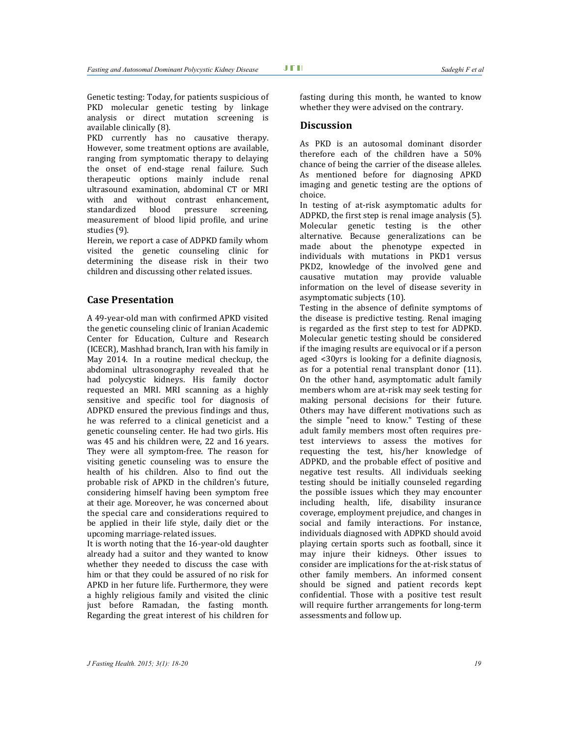Genetic testing: Today, for patients suspicious of PKD molecular genetic testing by linkage analysis or direct mutation screening is available clinically (8).

PKD currently has no causative therapy. However, some treatment options are available, ranging from symptomatic therapy to delaying the onset of end-stage renal failure. Such therapeutic options mainly include renal ultrasound examination, abdominal CT or MRI with and without contrast enhancement, standardized blood pressure screening, measurement of blood lipid profile, and urine studies (9).

Herein, we report a case of ADPKD family whom visited the genetic counseling clinic for determining the disease risk in their two children and discussing other related issues.

### **Case Presentation**

A 49-year-old man with confirmed APKD visited the genetic counseling clinic of Iranian Academic Center for Education, Culture and Research (ICECR), Mashhad branch, Iran with his family in May 2014. In a routine medical checkup, the abdominal ultrasonography revealed that he had polycystic kidneys. His family doctor requested an MRI. MRI scanning as a highly sensitive and specific tool for diagnosis of ADPKD ensured the previous findings and thus, he was referred to a clinical geneticist and a genetic counseling center. He had two girls. His was 45 and his children were, 22 and 16 years. They were all symptom-free. The reason for visiting genetic counseling was to ensure the health of his children. Also to find out the probable risk of APKD in the children's future, considering himself having been symptom free at their age. Moreover, he was concerned about the special care and considerations required to be applied in their life style, daily diet or the upcoming marriage-related issues.

It is worth noting that the 16-year-old daughter already had a suitor and they wanted to know whether they needed to discuss the case with him or that they could be assured of no risk for APKD in her future life. Furthermore, they were a highly religious family and visited the clinic just before Ramadan, the fasting month. Regarding the great interest of his children for

fasting during this month, he wanted to know whether they were advised on the contrary.

## **Discussion**

As PKD is an autosomal dominant disorder therefore each of the children have a 50% chance of being the carrier of the disease alleles. As mentioned before for diagnosing APKD imaging and genetic testing are the options of choice.

In testing of at-risk asymptomatic adults for ADPKD, the first step is renal image analysis (5). Molecular genetic testing is the other alternative. Because generalizations can be made about the phenotype expected in individuals with mutations in PKD1 versus PKD2, knowledge of the involved gene and causative mutation may provide valuable information on the level of disease severity in asymptomatic subjects (10).

Testing in the absence of definite symptoms of the disease is predictive testing. Renal imaging is regarded as the first step to test for ADPKD. Molecular genetic testing should be considered if the imaging results are equivocal or if a person aged <30yrs is looking for a definite diagnosis, as for a potential renal transplant donor (11). On the other hand, asymptomatic adult family members whom are at-risk may seek testing for making personal decisions for their future. Others may have different motivations such as the simple "need to know." Testing of these adult family members most often requires pretest interviews to assess the motives for requesting the test, his/her knowledge of ADPKD, and the probable effect of positive and negative test results. All individuals seeking testing should be initially counseled regarding the possible issues which they may encounter including health, life, disability insurance coverage, employment prejudice, and changes in social and family interactions. For instance, individuals diagnosed with ADPKD should avoid playing certain sports such as football, since it may injure their kidneys. Other issues to consider are implications for the at-risk status of other family members. An informed consent should be signed and patient records kept confidential. Those with a positive test result will require further arrangements for long-term assessments and follow up.